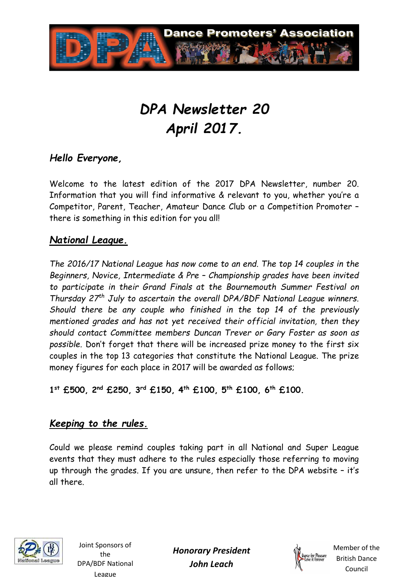

# *DPA Newsletter 20 April 2017.*

# *Hello Everyone,*

Welcome to the latest edition of the 2017 DPA Newsletter, number 20. Information that you will find informative & relevant to you, whether you're a Competitor, Parent, Teacher, Amateur Dance Club or a Competition Promoter – there is something in this edition for you all!

#### *National League.*

*The 2016/17 National League has now come to an end. The top 14 couples in the Beginners, Novice, Intermediate & Pre – Championship grades have been invited to participate in their Grand Finals at the Bournemouth Summer Festival on Thursday 27th July to ascertain the overall DPA/BDF National League winners. Should there be any couple who finished in the top 14 of the previously mentioned grades and has not yet received their official invitation, then they should contact Committee members Duncan Trever or Gary Foster as soon as possible.* Don't forget that there will be increased prize money to the first six couples in the top 13 categories that constitute the National League. The prize money figures for each place in 2017 will be awarded as follows;

**1 st £500, 2nd £250, 3rd £150, 4th £100, 5th £100, 6th £100.** 

#### *Keeping to the rules.*

Could we please remind couples taking part in all National and Super League events that they must adhere to the rules especially those referring to moving up through the grades. If you are unsure, then refer to the DPA website – it's all there.



Joint Sponsors of the DPA/BDF National League

*Honorary President John Leach* 

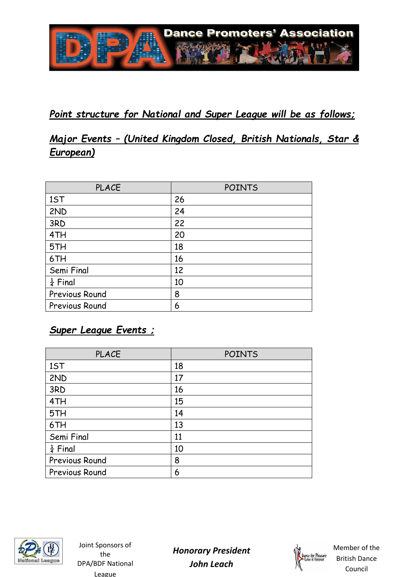

# *Point structure for National and Super League will be as follows;*

# *Major Events – (United Kingdom Closed, British Nationals, Star & European)*

| <b>PLACE</b>        | <b>POINTS</b> |  |
|---------------------|---------------|--|
| 1ST                 | 26            |  |
| 2ND                 | 24            |  |
| 3RD                 | 22            |  |
| 4TH                 | 20            |  |
| 5TH                 | 18            |  |
| 6TH                 | 16            |  |
| Semi Final          | 12            |  |
| $\frac{1}{4}$ Final | 10            |  |
| Previous Round      | 8             |  |
| Previous Round      | 6             |  |

# *Super League Events ;*

| <b>PLACE</b>          | <b>POINTS</b> |
|-----------------------|---------------|
| 1ST                   | 18            |
| 2ND                   | 17            |
| 3RD                   | 16            |
| 4TH                   | 15            |
| 5TH                   | 14            |
| 6TH                   | 13            |
| Semi Final            | 11            |
| $rac{1}{4}$ Final     | 10            |
| Previous Round        | 8             |
| <b>Previous Round</b> | 6             |



Joint Sponsors of the DPA/BDF National League

*Honorary President John Leach* 

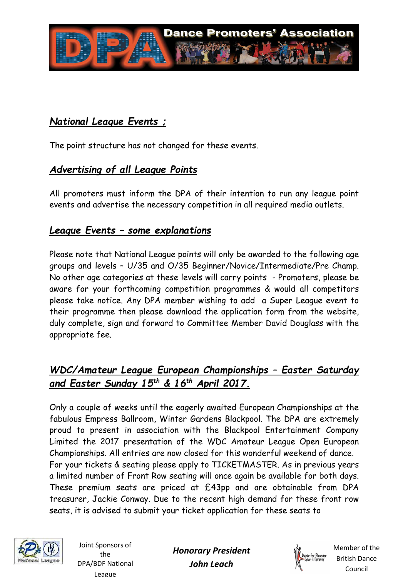

# *National League Events ;*

The point structure has not changed for these events.

# *Advertising of all League Points*

All promoters must inform the DPA of their intention to run any league point events and advertise the necessary competition in all required media outlets.

#### *League Events – some explanations*

Please note that National League points will only be awarded to the following age groups and levels – U/35 and O/35 Beginner/Novice/Intermediate/Pre Champ. No other age categories at these levels will carry points - Promoters, please be aware for your forthcoming competition programmes & would all competitors please take notice. Any DPA member wishing to add a Super League event to their programme then please download the application form from the website, duly complete, sign and forward to Committee Member David Douglass with the appropriate fee.

# *WDC/Amateur League European Championships – Easter Saturday and Easter Sunday 15th & 16th April 2017.*

Only a couple of weeks until the eagerly awaited European Championships at the fabulous Empress Ballroom, Winter Gardens Blackpool. The DPA are extremely proud to present in association with the Blackpool Entertainment Company Limited the 2017 presentation of the WDC Amateur League Open European Championships. All entries are now closed for this wonderful weekend of dance. For your tickets & seating please apply to TICKETMASTER. As in previous years a limited number of Front Row seating will once again be available for both days. These premium seats are priced at £43pp and are obtainable from DPA treasurer, Jackie Conway. Due to the recent high demand for these front row seats, it is advised to submit your ticket application for these seats to



Joint Sponsors of the DPA/BDF National League

*Honorary President John Leach* 

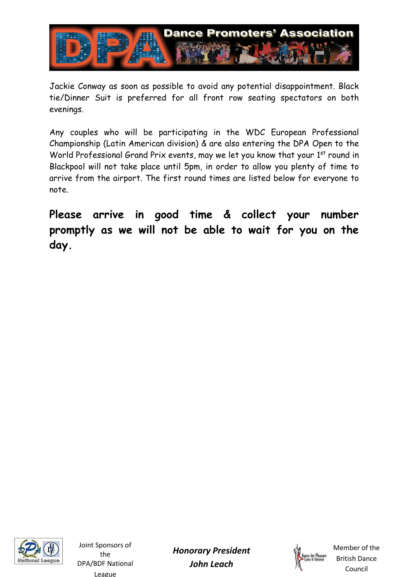

Jackie Conway as soon as possible to avoid any potential disappointment. Black tie/Dinner Suit is preferred for all front row seating spectators on both evenings.

Any couples who will be participating in the WDC European Professional Championship (Latin American division) & are also entering the DPA Open to the World Professional Grand Prix events, may we let you know that your 1<sup>st</sup> round in Blackpool will not take place until 5pm, in order to allow you plenty of time to arrive from the airport. The first round times are listed below for everyone to note.

**Please arrive in good time & collect your number promptly as we will not be able to wait for you on the day.**



Joint Sponsors of the DPA/BDF National League

*Honorary President John Leach* 

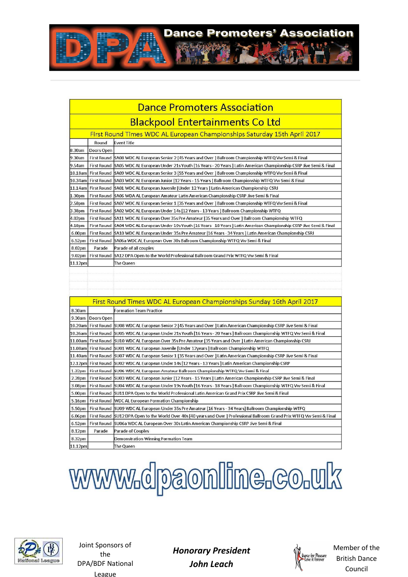

| Dance Promoters Association            |                     |                                                                                                                            |  |
|----------------------------------------|---------------------|----------------------------------------------------------------------------------------------------------------------------|--|
| <b>Blackpool Entertainments Co Ltd</b> |                     |                                                                                                                            |  |
|                                        |                     | First Round Times WDC AL European Championships Saturday 15th April 2017                                                   |  |
|                                        | Round               | <b>Event Title</b>                                                                                                         |  |
| .30am                                  | Doors Open          |                                                                                                                            |  |
| .30am                                  | <b>First Round</b>  | SA08 WDC AL European Senior 2 [45 Years and Over ] Ballroom Championship WTFQ Vw Semi & Final                              |  |
| .54am                                  | <b>First Round</b>  | SA05 WDC AL European Under 21s Youth [16 Years - 20 Years ] Latin American Championship CSRP Jive Semi & Final             |  |
| 0.18am                                 |                     | First Round SA09 WDC AL European Senior 3 [55 Years and Over ] Ballroom Championship WTFQ Vw Semi & Final                  |  |
| 0.34am                                 |                     | First Round SA03 WDC AL European Junior [12 Years - 15 Years ] Ballroom Championship WTFQ Vw Semi & Final                  |  |
| 1.14am                                 |                     | First Round SA01 WDC AL European Juvenile [Under 12 Years ] Latin American Championship CSRJ                               |  |
| .30pm                                  | <b>First Round</b>  | SA06 WDA AL European Amateur Latin American Championship CSRP Jive Semi & Final                                            |  |
| .58pm                                  | <b>First Round</b>  | SA07 WDC AL European Senior 1 [35 Years and Over ] Ballroom Championship WTFQ Vw Semi & Final                              |  |
| .38pm                                  | <b>First Round</b>  | SA02 WDC AL European Under 14s [12 Years - 13 Years ] Ballroom Championship WTFQ                                           |  |
| .02pm                                  | <b>First Round</b>  | SA11 WDC AL European Over 35s Pre Amateur [35 Years and Over ] Ballroom Championship WTFQ                                  |  |
| .18 <sub>pm</sub>                      | <b>First Round</b>  | SA04 WDC AL European Under 19s Youth [16 Years   18 Years ] Latin American Championship CSRP Jive Semi & Final             |  |
| 5.00pm                                 | <b>First Round</b>  | SA10 WDC AL European Under 35s Pre Amateur [16 Years - 34 Years ] Latin American Championship CSRJ                         |  |
| 5.52pm                                 | <b>First Round</b>  | SA06a WDC AL European Over 30s Ballroom Championship WTFQ Vw Semi & Final                                                  |  |
| 3.02pm                                 | Parade              | Parade of all couples                                                                                                      |  |
| ).02pm                                 | <b>First Round</b>  | SA12 DPA Open to the World Professional Ballroom Grand Prix WTFQ Vw Semi & Final                                           |  |
| 1.12 <sub>pm</sub>                     |                     | The Queen                                                                                                                  |  |
|                                        |                     |                                                                                                                            |  |
|                                        |                     |                                                                                                                            |  |
|                                        |                     |                                                                                                                            |  |
|                                        |                     |                                                                                                                            |  |
|                                        |                     | First Round Times WDC AL European Championships Sunday 16th April 2017                                                     |  |
| 3.30am                                 |                     | <b>Formation Team Practice</b>                                                                                             |  |
| .30am                                  | Doors Open          |                                                                                                                            |  |
| 0.20am                                 | <b>First Round</b>  | SU08 WDC AL European Senior 2 [45 Years and Over ] Latin American Championship CSRP Jive Semi & Final                      |  |
| 0.36am                                 | <b>First Round</b>  | SU05 WDC AL European Under 21s Youth [16 Years - 20 Years ] Ballroom Championship WTFQ Vw Semi & Final                     |  |
| 1.00am                                 | <b>First Round</b>  | [SU10 WDC AL European Over 35s Pre Amateur [35 Years and Over ] Latin American Championship CSRJ                           |  |
| 1.08 <sub>am</sub>                     | <b>First Round</b>  | SU01 WDC AL European Juvenile [Under 12years ] Ballroom Championship WTFQ                                                  |  |
|                                        |                     | 1.40am  First Round  SU07 WDC AL European Senior 1 [35 Years and Over ] Latin American Championship CSRP Jive Semi & Final |  |
|                                        | 2.12pm  First Round | SU02 WDC AL European Under 14s [12 Years - 13 Years ] Latin American Championship CSRP                                     |  |
| L.32pm                                 | <b>First Round</b>  | SU06 WDC AL European Amateur Ballroom Championship WTFQ Vw Semi & Final                                                    |  |
| 2.28pm                                 | <b>First Round</b>  | [SU03 WDC AL European Junior [12 Years - 15 Years ] Latin American Championship CSRP Jive Semi & Final                     |  |
| 3.08pm                                 | <b>First Round</b>  | SU04 WDC AL European Under 19s Youth [16 Years - 18 Years ] Ballroom Championship WTFQ Vw Semi & Final                     |  |
| 5.00 <sub>pm</sub>                     |                     | First Round SU11 DPA Open to the World Professional Latin American Grand Prix CSRP Jive Semi & Final                       |  |

# www.dpaonline.co.uk

First Round SU09 WDC AL European Under 35s Pre Amateur [16 Years - 34 Years] Ballroom Championship WTFQ

SU06a WDC AL European Over 30s Latin American Championship CSRP Jive Semi & Final

First Round SU12 DPA Open to the World Over 40s [40 years and Over ] Professional Ballroom Grand Prix WTFQ Vw Semi & Final



þз 4 4

5.16pm

 $5.50<sub>pm</sub>$ 

6.06pm

6.52pm

8.12pm

8.32pm

11.12pm

**First Round** 

Parade

First Round WDC AL European Formation Championship

Demonstration Winning Formation Team

Parade of Couples

The Queen

Joint Sponsors of the DPA/BDF National League

*Honorary President John Leach* 

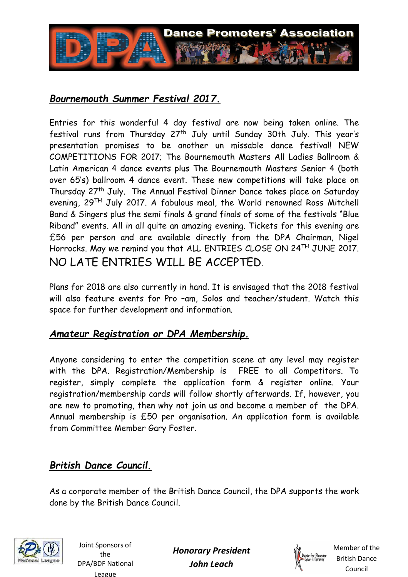

## *Bournemouth Summer Festival 2017.*

Entries for this wonderful 4 day festival are now being taken online. The festival runs from Thursday 27<sup>th</sup> July until Sunday 30th July. This year's presentation promises to be another un missable dance festival! NEW COMPETITIONS FOR 2017; The Bournemouth Masters All Ladies Ballroom & Latin American 4 dance events plus The Bournemouth Masters Senior 4 (both over 65's) ballroom 4 dance event. These new competitions will take place on Thursday 27th July. The Annual Festival Dinner Dance takes place on Saturday evening, 29TH July 2017. A fabulous meal, the World renowned Ross Mitchell Band & Singers plus the semi finals & grand finals of some of the festivals "Blue Riband" events. All in all quite an amazing evening. Tickets for this evening are £56 per person and are available directly from the DPA Chairman, Nigel Horrocks. May we remind you that ALL ENTRIES CLOSE ON 24<sup>TH</sup> JUNE 2017. NO LATE ENTRIES WILL BE ACCEPTED.

Plans for 2018 are also currently in hand. It is envisaged that the 2018 festival will also feature events for Pro –am, Solos and teacher/student. Watch this space for further development and information.

#### *Amateur Registration or DPA Membership.*

Anyone considering to enter the competition scene at any level may register with the DPA. Registration/Membership is FREE to all Competitors. To register, simply complete the application form & register online. Your registration/membership cards will follow shortly afterwards. If, however, you are new to promoting, then why not join us and become a member of the DPA. Annual membership is £50 per organisation. An application form is available from Committee Member Gary Foster.

# *British Dance Council.*

As a corporate member of the British Dance Council, the DPA supports the work done by the British Dance Council.



Joint Sponsors of the DPA/BDF National League

*Honorary President John Leach*